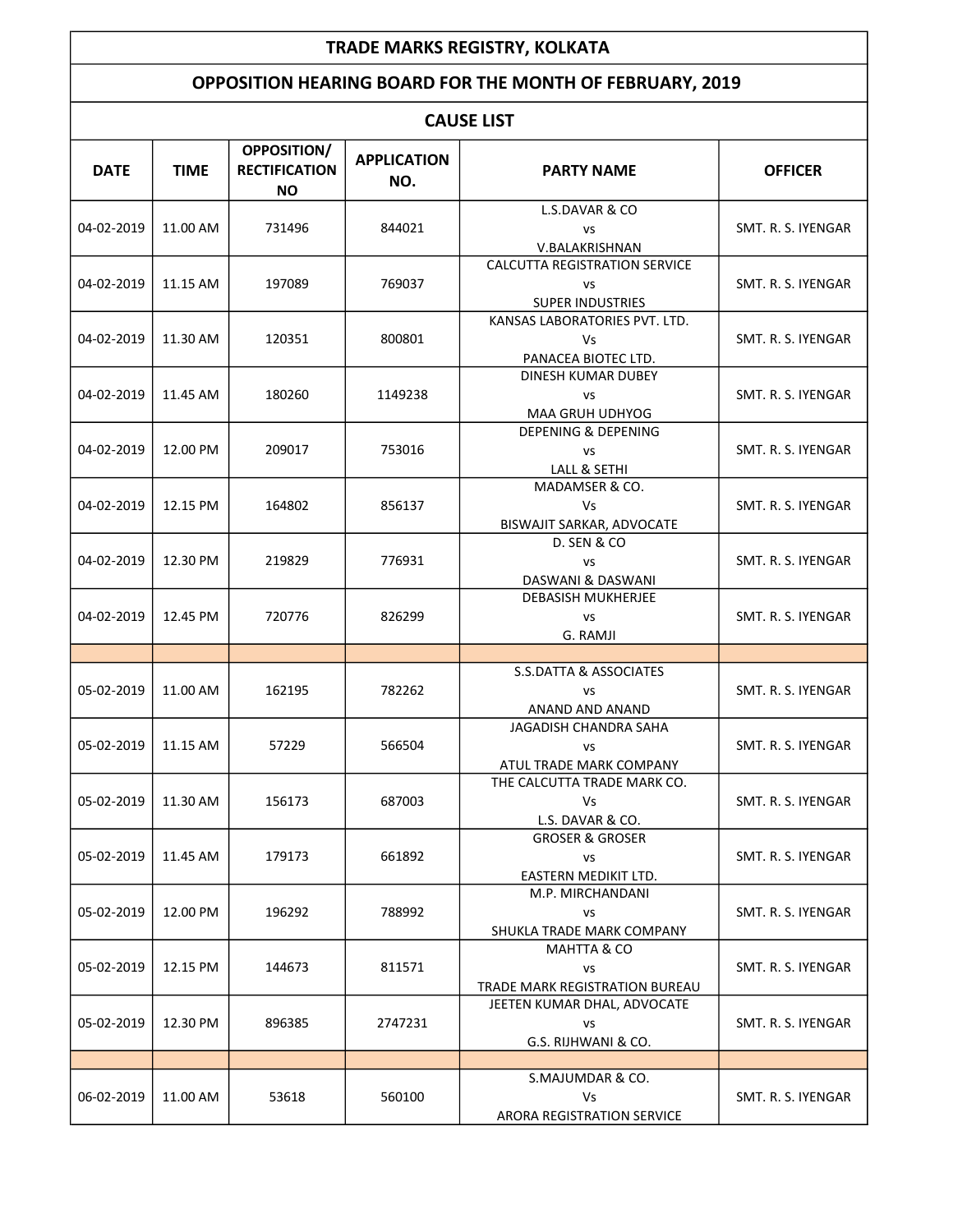## TRADE MARKS REGISTRY, KOLKATA

## OPPOSITION HEARING BOARD FOR THE MONTH OF FEBRUARY, 2019

| <b>CAUSE LIST</b> |             |                                                         |                           |                                                                       |                    |  |  |
|-------------------|-------------|---------------------------------------------------------|---------------------------|-----------------------------------------------------------------------|--------------------|--|--|
| <b>DATE</b>       | <b>TIME</b> | <b>OPPOSITION/</b><br><b>RECTIFICATION</b><br><b>NO</b> | <b>APPLICATION</b><br>NO. | <b>PARTY NAME</b>                                                     | <b>OFFICER</b>     |  |  |
| 04-02-2019        | 11.00 AM    | 731496                                                  | 844021                    | L.S.DAVAR & CO<br>VS<br>V.BALAKRISHNAN                                | SMT. R. S. IYENGAR |  |  |
| 04-02-2019        | 11.15 AM    | 197089                                                  | 769037                    | CALCUTTA REGISTRATION SERVICE<br><b>VS</b><br><b>SUPER INDUSTRIES</b> | SMT. R. S. IYENGAR |  |  |
| 04-02-2019        | 11.30 AM    | 120351                                                  | 800801                    | KANSAS LABORATORIES PVT. LTD.<br>Vs<br>PANACEA BIOTEC LTD.            | SMT. R. S. IYENGAR |  |  |
| 04-02-2019        | 11.45 AM    | 180260                                                  | 1149238                   | DINESH KUMAR DUBEY<br>VS<br>MAA GRUH UDHYOG                           | SMT. R. S. IYENGAR |  |  |
| 04-02-2019        | 12.00 PM    | 209017                                                  | 753016                    | <b>DEPENING &amp; DEPENING</b><br>VS<br>LALL & SETHI                  | SMT. R. S. IYENGAR |  |  |
| 04-02-2019        | 12.15 PM    | 164802                                                  | 856137                    | MADAMSER & CO.<br>Vs<br>BISWAJIT SARKAR, ADVOCATE                     | SMT. R. S. IYENGAR |  |  |
| 04-02-2019        | 12.30 PM    | 219829                                                  | 776931                    | D. SEN & CO<br><b>VS</b><br>DASWANI & DASWANI                         | SMT. R. S. IYENGAR |  |  |
| 04-02-2019        | 12.45 PM    | 720776                                                  | 826299                    | <b>DEBASISH MUKHERJEE</b><br>VS<br>G. RAMJI                           | SMT. R. S. IYENGAR |  |  |
|                   |             |                                                         |                           |                                                                       |                    |  |  |
| 05-02-2019        | 11.00 AM    | 162195                                                  | 782262                    | S.S.DATTA & ASSOCIATES<br>VS<br>ANAND AND ANAND                       | SMT. R. S. IYENGAR |  |  |
| 05-02-2019        | 11.15 AM    | 57229                                                   | 566504                    | JAGADISH CHANDRA SAHA<br>VS<br>ATUL TRADE MARK COMPANY                | SMT. R. S. IYENGAR |  |  |
| 05-02-2019        | 11.30 AM    | 156173                                                  | 687003                    | THE CALCUTTA TRADE MARK CO.<br><b>Vs</b><br>L.S. DAVAR & CO.          | SMT. R. S. IYENGAR |  |  |
| 05-02-2019        | 11.45 AM    | 179173                                                  | 661892                    | <b>GROSER &amp; GROSER</b><br>VS<br>EASTERN MEDIKIT LTD.              | SMT. R. S. IYENGAR |  |  |
| 05-02-2019        | 12.00 PM    | 196292                                                  | 788992                    | M.P. MIRCHANDANI<br>vs<br>SHUKLA TRADE MARK COMPANY                   | SMT. R. S. IYENGAR |  |  |
| 05-02-2019        | 12.15 PM    | 144673                                                  | 811571                    | MAHTTA & CO<br><b>VS</b><br>TRADE MARK REGISTRATION BUREAU            | SMT. R. S. IYENGAR |  |  |
| 05-02-2019        | 12.30 PM    | 896385                                                  | 2747231                   | JEETEN KUMAR DHAL, ADVOCATE<br>VS<br>G.S. RIJHWANI & CO.              | SMT. R. S. IYENGAR |  |  |
|                   |             |                                                         |                           |                                                                       |                    |  |  |
| 06-02-2019        | 11.00 AM    | 53618                                                   | 560100                    | S.MAJUMDAR & CO.<br>Vs<br>ARORA REGISTRATION SERVICE                  | SMT. R. S. IYENGAR |  |  |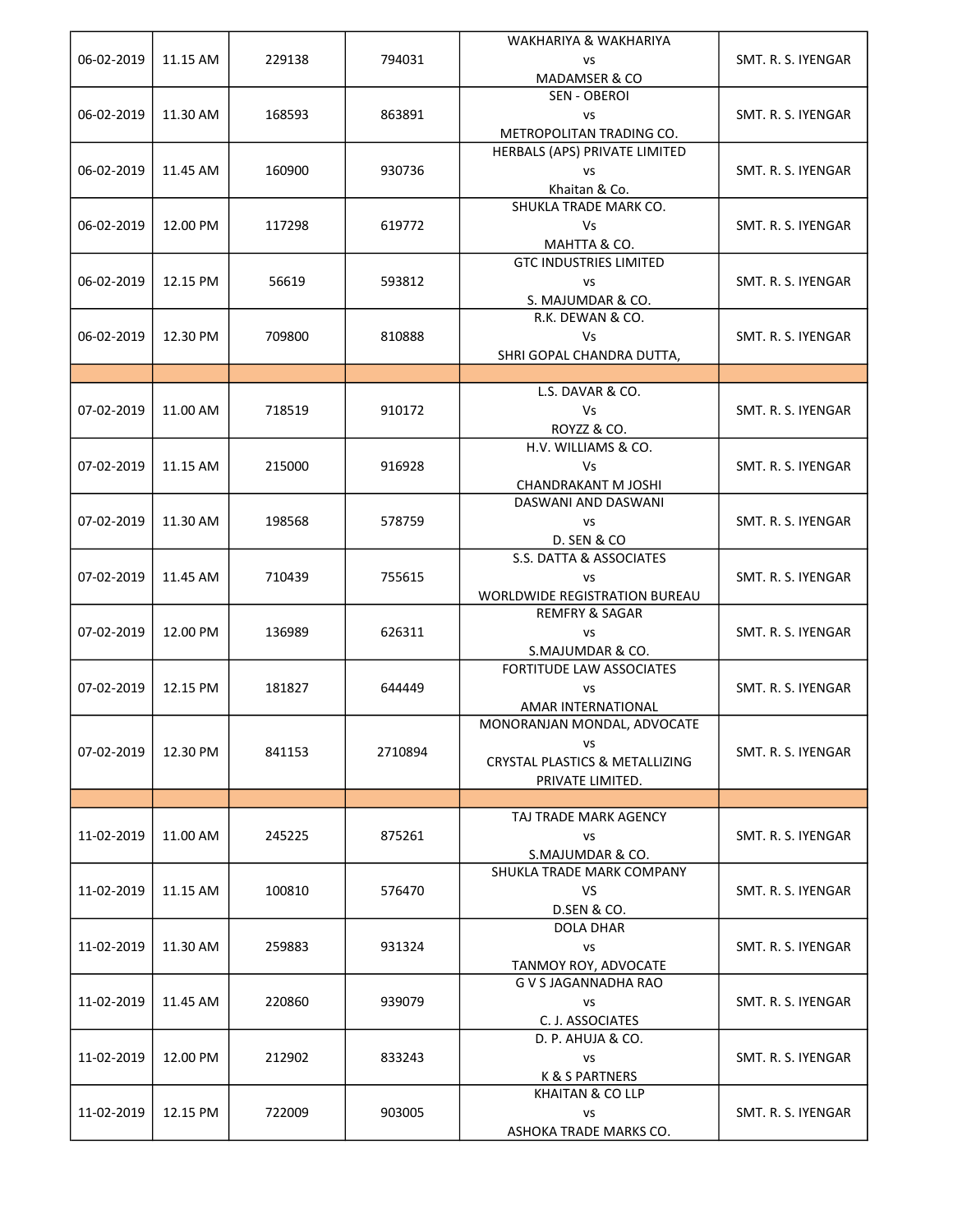| 06-02-2019 | 11.15 AM | 229138 | 794031  | WAKHARIYA & WAKHARIYA<br><b>VS</b><br>MADAMSER & CO                                                | SMT. R. S. IYENGAR |
|------------|----------|--------|---------|----------------------------------------------------------------------------------------------------|--------------------|
| 06-02-2019 | 11.30 AM | 168593 | 863891  | SEN - OBEROI<br>VS<br>METROPOLITAN TRADING CO.                                                     | SMT. R. S. IYENGAR |
| 06-02-2019 | 11.45 AM | 160900 | 930736  | HERBALS (APS) PRIVATE LIMITED<br><b>VS</b><br>Khaitan & Co.                                        | SMT. R. S. IYENGAR |
| 06-02-2019 | 12.00 PM | 117298 | 619772  | SHUKLA TRADE MARK CO.<br>Vs<br>MAHTTA & CO.                                                        | SMT. R. S. IYENGAR |
| 06-02-2019 | 12.15 PM | 56619  | 593812  | <b>GTC INDUSTRIES LIMITED</b><br><b>VS</b><br>S. MAJUMDAR & CO.                                    | SMT. R. S. IYENGAR |
| 06-02-2019 | 12.30 PM | 709800 | 810888  | R.K. DEWAN & CO.<br>Vs<br>SHRI GOPAL CHANDRA DUTTA,                                                | SMT. R. S. IYENGAR |
|            |          |        |         |                                                                                                    |                    |
| 07-02-2019 | 11.00 AM | 718519 | 910172  | L.S. DAVAR & CO.<br>Vs<br>ROYZZ & CO.                                                              | SMT. R. S. IYENGAR |
| 07-02-2019 | 11.15 AM | 215000 | 916928  | H.V. WILLIAMS & CO.<br>Vs<br><b>CHANDRAKANT M JOSHI</b>                                            | SMT. R. S. IYENGAR |
| 07-02-2019 | 11.30 AM | 198568 | 578759  | DASWANI AND DASWANI<br>VS<br><b>D. SEN &amp; CO</b>                                                | SMT. R. S. IYENGAR |
| 07-02-2019 | 11.45 AM | 710439 | 755615  | S.S. DATTA & ASSOCIATES<br>VS<br><b>WORLDWIDE REGISTRATION BUREAU</b>                              | SMT. R. S. IYENGAR |
| 07-02-2019 | 12.00 PM | 136989 | 626311  | <b>REMFRY &amp; SAGAR</b><br>VS<br>S.MAJUMDAR & CO.                                                | SMT. R. S. IYENGAR |
| 07-02-2019 | 12.15 PM | 181827 | 644449  | FORTITUDE LAW ASSOCIATES<br>VS<br>AMAR INTERNATIONAL                                               | SMT. R. S. IYENGAR |
| 07-02-2019 | 12.30 PM | 841153 | 2710894 | MONORANJAN MONDAL, ADVOCATE<br>vs<br><b>CRYSTAL PLASTICS &amp; METALLIZING</b><br>PRIVATE LIMITED. | SMT. R. S. IYENGAR |
|            |          |        |         |                                                                                                    |                    |
| 11-02-2019 | 11.00 AM | 245225 | 875261  | TAJ TRADE MARK AGENCY<br>VS<br>S.MAJUMDAR & CO.                                                    | SMT. R. S. IYENGAR |
| 11-02-2019 | 11.15 AM | 100810 | 576470  | SHUKLA TRADE MARK COMPANY<br>VS<br>D.SEN & CO.                                                     | SMT. R. S. IYENGAR |
| 11-02-2019 | 11.30 AM | 259883 | 931324  | <b>DOLA DHAR</b><br><b>VS</b><br>TANMOY ROY, ADVOCATE                                              | SMT. R. S. IYENGAR |
| 11-02-2019 | 11.45 AM | 220860 | 939079  | G V S JAGANNADHA RAO<br>VS<br>C. J. ASSOCIATES                                                     | SMT. R. S. IYENGAR |
| 11-02-2019 | 12.00 PM | 212902 | 833243  | D. P. AHUJA & CO.<br><b>VS</b><br>K & S PARTNERS                                                   | SMT. R. S. IYENGAR |
| 11-02-2019 | 12.15 PM | 722009 | 903005  | KHAITAN & CO LLP<br>VS<br>ASHOKA TRADE MARKS CO.                                                   | SMT. R. S. IYENGAR |